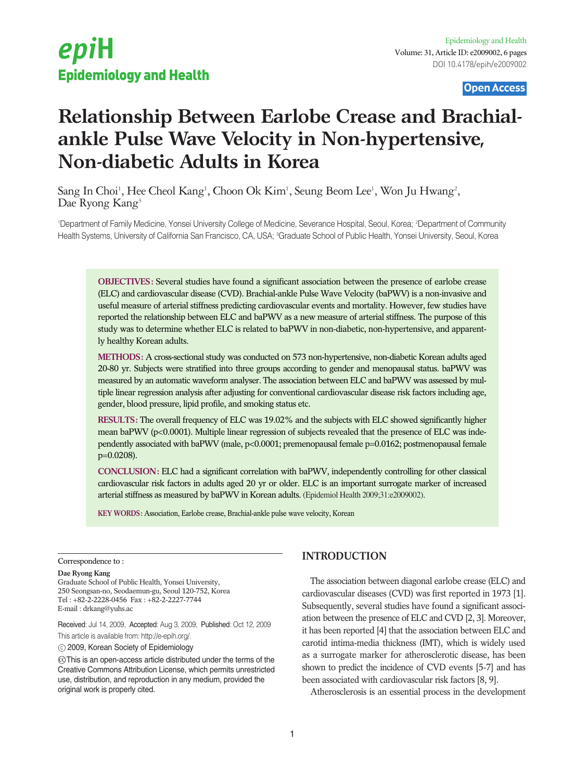Open Access

# **Relationship Between Earlobe Crease and Brachialankle Pulse Wave Velocity in Non-hypertensive, Non-diabetic Adults in Korea**

Sang In Choi<sup>1</sup>, Hee Cheol Kang<sup>1</sup>, Choon Ok Kim<sup>1</sup>, Seung Beom Lee<sup>1</sup>, Won Ju Hwang<sup>2</sup>, Dae Ryong Kang<sup>3</sup>

'Department of Family Medicine, Yonsei University College of Medicine, Severance Hospital, Seoul, Korea; <sup>2</sup>Department of Community Health Systems, University of California San Francisco, CA, USA; ªGraduate School of Public Health, Yonsei University, Seoul, Korea

**OBJECTIVES:** Several studies have found a significant association between the presence of earlobe crease (ELC) and cardiovascular disease (CVD). Brachial-ankle Pulse Wave Velocity (baPWV) is a non-invasive and useful measure of arterial stiffness predicting cardiovascular events and mortality. However, few studies have reported the relationship between ELC and baPWV as a new measure of arterial stiffness. The purpose of this study was to determine whether ELC is related to baPWV in non-diabetic, non-hypertensive, and apparently healthy Korean adults.

**METHODS:** A cross-sectional study was conducted on 573 non-hypertensive, non-diabetic Korean adults aged 20-80 yr. Subjects were stratified into three groups according to gender and menopausal status. baPWV was measured by an automatic waveform analyser. The association between ELC and baPWV was assessed by multiple linear regression analysis after adjusting for conventional cardiovascular disease risk factors including age, gender, blood pressure, lipid profile, and smoking status etc.

**RESULTS:** The overall frequency of ELC was 19.02% and the subjects with ELC showed significantly higher mean baPWV (p<0.0001). Multiple linear regression of subjects revealed that the presence of ELC was independently associated with baPWV (male, p<0.0001; premenopausal female p=0.0162; postmenopausal female p=0.0208).

**CONCLUSION:** ELC had a significant correlation with baPWV, independently controlling for other classical cardiovascular risk factors in adults aged 20 yr or older. ELC is an important surrogate marker of increased arterial stiffness as measured by baPWV in Korean adults. (Epidemiol Health 2009;31:e2009002).

**KEY WORDS:** Association, Earlobe crease, Brachial-ankle pulse wave velocity, Korean

#### Correspondence to :

#### **Dae Ryong Kang**

Graduate School of Public Health, Yonsei University, 250 Seongsan-no, Seodaemun-gu, Seoul 120-752, Korea Tel : +82-2-2228-0456 Fax : +82-2-2227-7744 E-mail : drkang@yuhs.ac

Received: Jul 14, 2009, Accepted: Aug 3, 2009, Published: Oct 12, 2009 This article is available from: http://e-epih.org/.

2009, Korean Society of Epidemiology

 $\copyright$  This is an open-access article distributed under the terms of the Creative Commons Attribution License, which permits unrestricted use, distribution, and reproduction in any medium, provided the original work is properly cited.

# **INTRODUCTION**

The association between diagonal earlobe crease (ELC) and cardiovascular diseases (CVD) was first reported in 1973 [1]. Subsequently, several studies have found a significant association between the presence of ELC and CVD [2, 3]. Moreover, it has been reported [4] that the association between ELC and carotid intima-media thickness (IMT), which is widely used as a surrogate marker for atherosclerotic disease, has been shown to predict the incidence of CVD events [5-7] and has been associated with cardiovascular risk factors [8, 9].

Atherosclerosis is an essential process in the development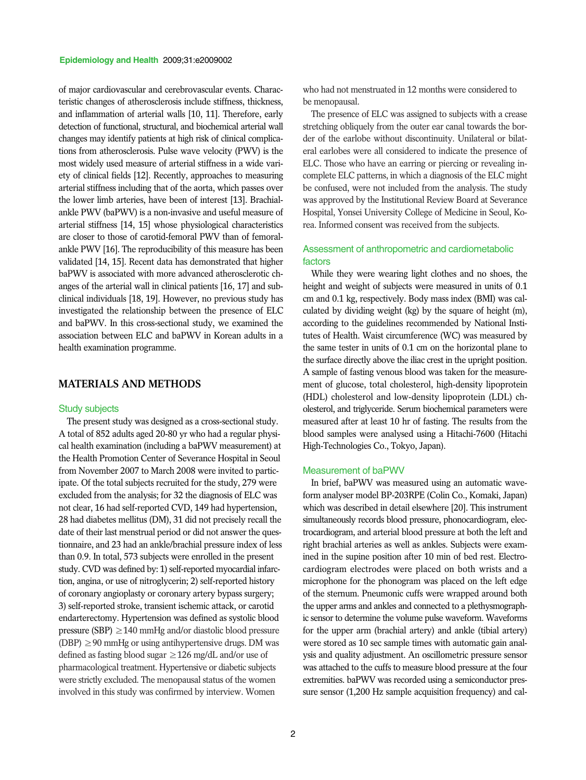of major cardiovascular and cerebrovascular events. Characteristic changes of atherosclerosis include stiffness, thickness, and inflammation of arterial walls [10, 11]. Therefore, early detection of functional, structural, and biochemical arterial wall changes may identify patients at high risk of clinical complications from atherosclerosis. Pulse wave velocity (PWV) is the most widely used measure of arterial stiffness in a wide variety of clinical fields [12]. Recently, approaches to measuring arterial stiffness including that of the aorta, which passes over the lower limb arteries, have been of interest [13]. Brachialankle PWV (baPWV) is a non-invasive and useful measure of arterial stiffness [14, 15] whose physiological characteristics are closer to those of carotid-femoral PWV than of femoralankle PWV [16]. The reproducibility of this measure has been validated [14, 15]. Recent data has demonstrated that higher baPWV is associated with more advanced atherosclerotic changes of the arterial wall in clinical patients [16, 17] and subclinical individuals [18, 19]. However, no previous study has investigated the relationship between the presence of ELC and baPWV. In this cross-sectional study, we examined the association between ELC and baPWV in Korean adults in a health examination programme.

# **MATERIALS AND METHODS**

#### Study subjects

The present study was designed as a cross-sectional study. A total of 852 adults aged 20-80 yr who had a regular physical health examination (including a baPWV measurement) at the Health Promotion Center of Severance Hospital in Seoul from November 2007 to March 2008 were invited to participate. Of the total subjects recruited for the study, 279 were excluded from the analysis; for 32 the diagnosis of ELC was not clear, 16 had self-reported CVD, 149 had hypertension, 28 had diabetes mellitus (DM), 31 did not precisely recall the date of their last menstrual period or did not answer the questionnaire, and 23 had an ankle/brachial pressure index of less than 0.9. In total, 573 subjects were enrolled in the present study. CVD was defined by: 1) self-reported myocardial infarction, angina, or use of nitroglycerin; 2) self-reported history of coronary angioplasty or coronary artery bypass surgery; 3) self-reported stroke, transient ischemic attack, or carotid endarterectomy. Hypertension was defined as systolic blood pressure (SBP)  $\geq$  140 mmHg and/or diastolic blood pressure (DBP)  $\geq$  90 mmHg or using antihypertensive drugs. DM was defined as fasting blood sugar  $\geq$  126 mg/dL and/or use of pharmacological treatment. Hypertensive or diabetic subjects were strictly excluded. The menopausal status of the women involved in this study was confirmed by interview. Women

who had not menstruated in 12 months were considered to be menopausal.

The presence of ELC was assigned to subjects with a crease stretching obliquely from the outer ear canal towards the border of the earlobe without discontinuity. Unilateral or bilateral earlobes were all considered to indicate the presence of ELC. Those who have an earring or piercing or revealing incomplete ELC patterns, in which a diagnosis of the ELC might be confused, were not included from the analysis. The study was approved by the Institutional Review Board at Severance Hospital, Yonsei University College of Medicine in Seoul, Korea. Informed consent was received from the subjects.

## Assessment of anthropometric and cardiometabolic factors

While they were wearing light clothes and no shoes, the height and weight of subjects were measured in units of  $0.1$ cm and 0.1 kg, respectively. Body mass index (BMI) was calculated by dividing weight (kg) by the square of height (m), according to the guidelines recommended by National Institutes of Health. Waist circumference (WC) was measured by the same tester in units of 0.1 cm on the horizontal plane to the surface directly above the iliac crest in the upright position. A sample of fasting venous blood was taken for the measurement of glucose, total cholesterol, high-density lipoprotein (HDL) cholesterol and low-density lipoprotein (LDL) cholesterol, and triglyceride. Serum biochemical parameters were measured after at least 10 hr of fasting. The results from the blood samples were analysed using a Hitachi-7600 (Hitachi High-Technologies Co., Tokyo, Japan).

#### Measurement of baPWV

In brief, baPWV was measured using an automatic waveform analyser model BP-203RPE (Colin Co., Komaki, Japan) which was described in detail elsewhere [20]. This instrument simultaneously records blood pressure, phonocardiogram, electrocardiogram, and arterial blood pressure at both the left and right brachial arteries as well as ankles. Subjects were examined in the supine position after 10 min of bed rest. Electrocardiogram electrodes were placed on both wrists and a microphone for the phonogram was placed on the left edge of the sternum. Pneumonic cuffs were wrapped around both the upper arms and ankles and connected to a plethysmographic sensor to determine the volume pulse waveform. Waveforms for the upper arm (brachial artery) and ankle (tibial artery) were stored as 10 sec sample times with automatic gain analysis and quality adjustment. An oscillometric pressure sensor was attached to the cuffs to measure blood pressure at the four extremities. baPWV was recorded using a semiconductor pressure sensor (1,200 Hz sample acquisition frequency) and cal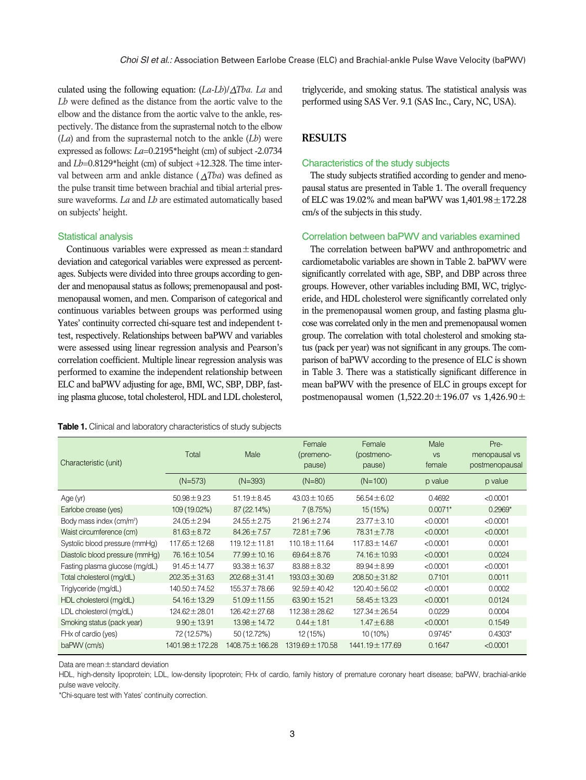culated using the following equation: (*La-Lb*)/ *Tba. La* and *Lb* were defined as the distance from the aortic valve to the elbow and the distance from the aortic valve to the ankle, respectively. The distance from the suprasternal notch to the elbow (*La*) and from the suprasternal notch to the ankle (*Lb*) were expressed as follows: *La*=0.2195\*height (cm) of subject -2.0734 and *Lb*=0.8129\*height (cm) of subject +12.328. The time interval between arm and ankle distance  $(\triangle Tba)$  was defined as the pulse transit time between brachial and tibial arterial pressure waveforms. *La* and *Lb* are estimated automatically based on subjects' height.

## Statistical analysis

Continuous variables were expressed as mean $\pm$ standard deviation and categorical variables were expressed as percentages. Subjects were divided into three groups according to gender and menopausal status as follows; premenopausal and postmenopausal women, and men. Comparison of categorical and continuous variables between groups was performed using Yates' continuity corrected chi-square test and independent ttest, respectively. Relationships between baPWV and variables were assessed using linear regression analysis and Pearson's correlation coefficient. Multiple linear regression analysis was performed to examine the independent relationship between ELC and baPWV adjusting for age, BMI, WC, SBP, DBP, fasting plasma glucose, total cholesterol, HDL and LDL cholesterol,

| <b>Table 1.</b> Clinical and laboratory characteristics of study subjects |  |
|---------------------------------------------------------------------------|--|
|---------------------------------------------------------------------------|--|

triglyceride, and smoking status. The statistical analysis was performed using SAS Ver. 9.1 (SAS Inc., Cary, NC, USA).

## **RESULTS**

#### Characteristics of the study subjects

The study subjects stratified according to gender and menopausal status are presented in Table 1. The overall frequency of ELC was  $19.02\%$  and mean baPWV was  $1,401.98 \pm 172.28$ cm/s of the subjects in this study.

## Correlation between baPWV and variables examined

The correlation between baPWV and anthropometric and cardiometabolic variables are shown in Table 2. baPWV were significantly correlated with age, SBP, and DBP across three groups. However, other variables including BMI, WC, triglyceride, and HDL cholesterol were significantly correlated only in the premenopausal women group, and fasting plasma glucose was correlated only in the men and premenopausal women group. The correlation with total cholesterol and smoking status (pack per year) was not significant in any groups. The comparison of baPWV according to the presence of ELC is shown in Table 3. There was a statistically significant difference in mean baPWV with the presence of ELC in groups except for postmenopausal women  $(1,522.20 \pm 196.07 \text{ vs } 1,426.90 \pm 1,0)$ 

| Characteristic (unit)                | Total              | Male               | Female<br>(premeno-<br>pause) | Female<br>(postmeno-<br>pause) | Male<br><b>VS</b><br>female | Pre-<br>menopausal vs<br>postmenopausal |
|--------------------------------------|--------------------|--------------------|-------------------------------|--------------------------------|-----------------------------|-----------------------------------------|
|                                      | $(N=573)$          | $(N=393)$          | $(N=80)$                      | $(N=100)$                      | p value                     | p value                                 |
| Age (yr)                             | $50.98 \pm 9.23$   | $51.19 \pm 8.45$   | $43.03 \pm 10.65$             | $56.54 \pm 6.02$               | 0.4692                      | < 0.0001                                |
| Earlobe crease (yes)                 | 109 (19.02%)       | 87 (22.14%)        | 7(8.75%)                      | 15(15%)                        | $0.0071*$                   | $0.2969*$                               |
| Body mass index (cm/m <sup>2</sup> ) | $24.05 \pm 2.94$   | $24.55 \pm 2.75$   | $21.96 \pm 2.74$              | $23.77 \pm 3.10$               | < 0.0001                    | < 0.0001                                |
| Waist circumference (cm)             | $81.63 \pm 8.72$   | $84.26 \pm 7.57$   | $72.81 \pm 7.96$              | $78.31 \pm 7.78$               | < 0.0001                    | < 0.0001                                |
| Systolic blood pressure (mmHg)       | $117.65 \pm 12.68$ | $119.12 \pm 11.81$ | $110.18 \pm 11.64$            | $117.83 \pm 14.67$             | < 0.0001                    | 0.0001                                  |
| Diastolic blood pressure (mmHq)      | 76.16 ± 10.54      | 77.99 ± 10.16      | $69.64 \pm 8.76$              | 74.16 ± 10.93                  | < 0.0001                    | 0.0024                                  |
| Fasting plasma glucose (mg/dL)       | $91.45 \pm 14.77$  | $93.38 \pm 16.37$  | $83.88 \pm 8.32$              | $89.94 \pm 8.99$               | < 0.0001                    | < 0.0001                                |
| Total cholesterol (mg/dL)            | $202.35 \pm 31.63$ | $202.68 \pm 31.41$ | $193.03 \pm 30.69$            | $208.50 \pm 31.82$             | 0.7101                      | 0.0011                                  |
| Triglyceride (mg/dL)                 | $140.50 \pm 74.52$ | $155.37 \pm 78.66$ | $92.59 \pm 40.42$             | $120.40 \pm 56.02$             | < 0.0001                    | 0.0002                                  |
| HDL cholesterol (mg/dL)              | $54.16 \pm 13.29$  | $51.09 \pm 11.55$  | $63.90 \pm 15.21$             | $58.45 \pm 13.23$              | < 0.0001                    | 0.0124                                  |
| LDL cholesterol (mg/dL)              | $124.62 \pm 28.01$ | $126.42 \pm 27.68$ | $112.38 \pm 28.62$            | $127.34 \pm 26.54$             | 0.0229                      | 0.0004                                  |
| Smoking status (pack year)           | $9.90 \pm 13.91$   | $13.98 \pm 14.72$  | $0.44 \pm 1.81$               | $1.47 \pm 6.88$                | < 0.0001                    | 0.1549                                  |
| FHx of cardio (yes)                  | 72 (12.57%)        | 50 (12.72%)        | 12 (15%)                      | $10(10\%)$                     | $0.9745*$                   | $0.4303*$                               |
| baPWV (cm/s)                         | 1401.98 ± 172.28   | 1408.75 ± 166.28   | 1319.69 ± 170.58              | 1441.19 ± 177.69               | 0.1647                      | < 0.0001                                |

Data are mean±standard deviation

HDL, high-density lipoprotein; LDL, low-density lipoprotein; FHx of cardio, family history of premature coronary heart disease; baPWV, brachial-ankle pulse wave velocity.

\*Chi-square test with Yates' continuity correction.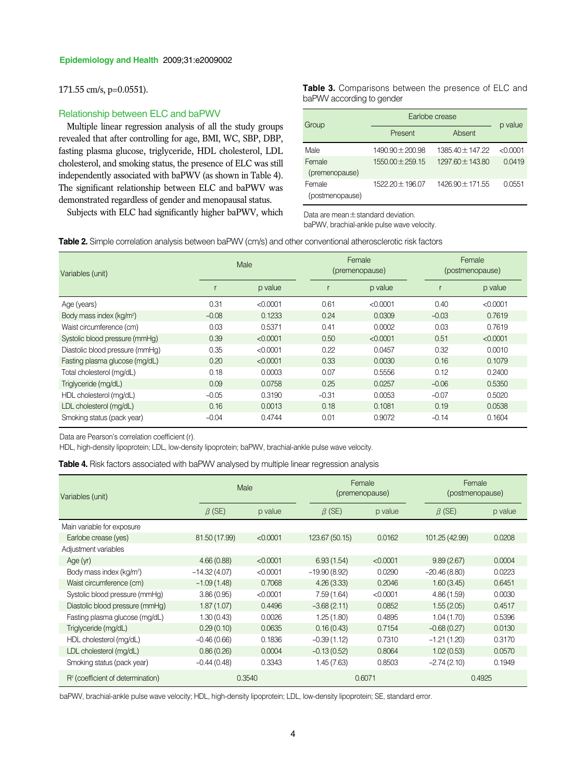## 171.55 cm/s, p=0.0551).

### Relationship between ELC and baPWV

Multiple linear regression analysis of all the study groups revealed that after controlling for age, BMI, WC, SBP, DBP, fasting plasma glucose, triglyceride, HDL cholesterol, LDL cholesterol, and smoking status, the presence of ELC was still independently associated with baPWV (as shown in Table 4). The significant relationship between ELC and baPWV was demonstrated regardless of gender and menopausal status.

Subjects with ELC had significantly higher baPWV, which  $D$ ata are mean $\pm$ standard deviation.

**Table 3.** Comparisons between the presence of ELC and baPWV according to gender

| Group                     | Earlobe crease       | p value              |          |  |
|---------------------------|----------------------|----------------------|----------|--|
|                           | Present              | Absent               |          |  |
| Male                      | $1490.90 \pm 200.98$ | $1385.40 \pm 147.22$ | < 0.0001 |  |
| Female<br>(premenopause)  | $1550.00 \pm 259.15$ | $129760 + 14380$     | 0.0419   |  |
| Female<br>(postmenopause) | 1522.20 ± 196.07     | 1426.90 ± 171.55     | 0.0551   |  |

baPWV, brachial-ankle pulse wave velocity.

**Table 2.** Simple correlation analysis between baPWV (cm/s) and other conventional atherosclerotic risk factors

| Variables (unit)                     | Male    |          | Female<br>(premenopause) |          | Female<br>(postmenopause) |          |
|--------------------------------------|---------|----------|--------------------------|----------|---------------------------|----------|
|                                      |         | p value  |                          | p value  |                           | p value  |
| Age (years)                          | 0.31    | < 0.0001 | 0.61                     | < 0.0001 | 0.40                      | < 0.0001 |
| Body mass index (kg/m <sup>2</sup> ) | $-0.08$ | 0.1233   | 0.24                     | 0.0309   | $-0.03$                   | 0.7619   |
| Waist circumference (cm)             | 0.03    | 0.5371   | 0.41                     | 0.0002   | 0.03                      | 0.7619   |
| Systolic blood pressure (mmHg)       | 0.39    | < 0.0001 | 0.50                     | < 0.0001 | 0.51                      | < 0.0001 |
| Diastolic blood pressure (mmHg)      | 0.35    | < 0.0001 | 0.22                     | 0.0457   | 0.32                      | 0.0010   |
| Fasting plasma glucose (mg/dL)       | 0.20    | < 0.0001 | 0.33                     | 0.0030   | 0.16                      | 0.1079   |
| Total cholesterol (mg/dL)            | 0.18    | 0.0003   | 0.07                     | 0.5556   | 0.12                      | 0.2400   |
| Triglyceride (mg/dL)                 | 0.09    | 0.0758   | 0.25                     | 0.0257   | $-0.06$                   | 0.5350   |
| HDL cholesterol (mg/dL)              | $-0.05$ | 0.3190   | $-0.31$                  | 0.0053   | $-0.07$                   | 0.5020   |
| LDL cholesterol (mg/dL)              | 0.16    | 0.0013   | 0.18                     | 0.1081   | 0.19                      | 0.0538   |
| Smoking status (pack year)           | $-0.04$ | 0.4744   | 0.01                     | 0.9072   | $-0.14$                   | 0.1604   |

Data are Pearson's correlation coefficient (r).

HDL, high-density lipoprotein; LDL, low-density lipoprotein; baPWV, brachial-ankle pulse wave velocity.

Table 4. Risk factors associated with baPWV analysed by multiple linear regression analysis

| Variables (unit)                              | Male           |          | Female<br>(premenopause) |          | Female<br>(postmenopause) |         |
|-----------------------------------------------|----------------|----------|--------------------------|----------|---------------------------|---------|
|                                               | $\beta$ (SE)   | p value  | $\beta$ (SE)             | p value  | $\beta$ (SE)              | p value |
| Main variable for exposure                    |                |          |                          |          |                           |         |
| Earlobe crease (yes)                          | 81.50 (17.99)  | < 0.0001 | 123.67 (50.15)           | 0.0162   | 101.25 (42.99)            | 0.0208  |
| Adjustment variables                          |                |          |                          |          |                           |         |
| Age(yr)                                       | 4.66(0.88)     | < 0.0001 | 6.93(1.54)               | < 0.0001 | 9.89(2.67)                | 0.0004  |
| Body mass index (kg/m <sup>2</sup> )          | $-14.32(4.07)$ | < 0.0001 | $-19.90(8.92)$           | 0.0290   | $-20.46(8.80)$            | 0.0223  |
| Waist circumference (cm)                      | $-1.09(1.48)$  | 0.7068   | 4.26(3.33)               | 0.2046   | 1.60(3.45)                | 0.6451  |
| Systolic blood pressure (mmHg)                | 3.86(0.95)     | < 0.0001 | 7.59(1.64)               | < 0.0001 | 4.86(1.59)                | 0.0030  |
| Diastolic blood pressure (mmHg)               | 1.87(1.07)     | 0.4496   | $-3.68(2.11)$            | 0.0852   | 1.55(2.05)                | 0.4517  |
| Fasting plasma glucose (mg/dL)                | 1.30(0.43)     | 0.0026   | 1.25(1.80)               | 0.4895   | 1.04(1.70)                | 0.5396  |
| Triglyceride (mg/dL)                          | 0.29(0.10)     | 0.0635   | 0.16(0.43)               | 0.7154   | $-0.68(0.27)$             | 0.0130  |
| HDL cholesterol (mg/dL)                       | $-0.46(0.66)$  | 0.1836   | $-0.39(1.12)$            | 0.7310   | $-1.21(1.20)$             | 0.3170  |
| LDL cholesterol (mg/dL)                       | 0.86(0.26)     | 0.0004   | $-0.13(0.52)$            | 0.8064   | 1.02(0.53)                | 0.0570  |
| Smoking status (pack year)                    | $-0.44(0.48)$  | 0.3343   | 1.45(7.63)               | 0.8503   | $-2.74(2.10)$             | 0.1949  |
| R <sup>2</sup> (coefficient of determination) |                | 0.3540   |                          | 0.6071   |                           | 0.4925  |

baPWV, brachial-ankle pulse wave velocity; HDL, high-density lipoprotein; LDL, low-density lipoprotein; SE, standard error.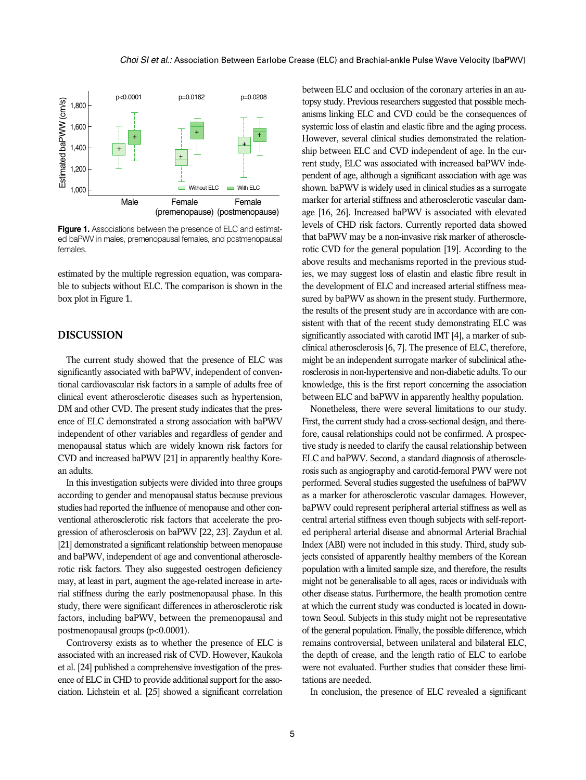

**Figure 1.** Associations between the presence of ELC and estimated baPWV in males, premenopausal females, and postmenopausal females.

estimated by the multiple regression equation, was comparable to subjects without ELC. The comparison is shown in the box plot in Figure 1.

## **DISCUSSION**

The current study showed that the presence of ELC was significantly associated with baPWV, independent of conventional cardiovascular risk factors in a sample of adults free of clinical event atherosclerotic diseases such as hypertension, DM and other CVD. The present study indicates that the presence of ELC demonstrated a strong association with baPWV independent of other variables and regardless of gender and menopausal status which are widely known risk factors for CVD and increased baPWV [21] in apparently healthy Korean adults.

In this investigation subjects were divided into three groups according to gender and menopausal status because previous studies had reported the influence of menopause and other conventional atherosclerotic risk factors that accelerate the progression of atherosclerosis on baPWV [22, 23]. Zaydun et al. [21] demonstrated a significant relationship between menopause and baPWV, independent of age and conventional atherosclerotic risk factors. They also suggested oestrogen deficiency may, at least in part, augment the age-related increase in arterial stiffness during the early postmenopausal phase. In this study, there were significant differences in atherosclerotic risk factors, including baPWV, between the premenopausal and postmenopausal groups (p<0.0001).

Controversy exists as to whether the presence of ELC is associated with an increased risk of CVD. However, Kaukola et al. [24] published a comprehensive investigation of the presence of ELC in CHD to provide additional support for the association. Lichstein et al. [25] showed a significant correlation

between ELC and occlusion of the coronary arteries in an autopsy study. Previous researchers suggested that possible mechanisms linking ELC and CVD could be the consequences of systemic loss of elastin and elastic fibre and the aging process. However, several clinical studies demonstrated the relationship between ELC and CVD independent of age. In the current study, ELC was associated with increased baPWV independent of age, although a significant association with age was shown. baPWV is widely used in clinical studies as a surrogate marker for arterial stiffness and atherosclerotic vascular damage [16, 26]. Increased baPWV is associated with elevated levels of CHD risk factors. Currently reported data showed that baPWV may be a non-invasive risk marker of atherosclerotic CVD for the general population [19]. According to the above results and mechanisms reported in the previous studies, we may suggest loss of elastin and elastic fibre result in the development of ELC and increased arterial stiffness measured by baPWV as shown in the present study. Furthermore, the results of the present study are in accordance with are consistent with that of the recent study demonstrating ELC was significantly associated with carotid IMT [4], a marker of subclinical atherosclerosis [6, 7]. The presence of ELC, therefore, might be an independent surrogate marker of subclinical atherosclerosis in non-hypertensive and non-diabetic adults. To our knowledge, this is the first report concerning the association between ELC and baPWV in apparently healthy population.

Nonetheless, there were several limitations to our study. First, the current study had a cross-sectional design, and therefore, causal relationships could not be confirmed. A prospective study is needed to clarify the causal relationship between ELC and baPWV. Second, a standard diagnosis of atherosclerosis such as angiography and carotid-femoral PWV were not performed. Several studies suggested the usefulness of baPWV as a marker for atherosclerotic vascular damages. However, baPWV could represent peripheral arterial stiffness as well as central arterial stiffness even though subjects with self-reported peripheral arterial disease and abnormal Arterial Brachial Index (ABI) were not included in this study. Third, study subjects consisted of apparently healthy members of the Korean population with a limited sample size, and therefore, the results might not be generalisable to all ages, races or individuals with other disease status. Furthermore, the health promotion centre at which the current study was conducted is located in downtown Seoul. Subjects in this study might not be representative of the general population. Finally, the possible difference, which remains controversial, between unilateral and bilateral ELC, the depth of crease, and the length ratio of ELC to earlobe were not evaluated. Further studies that consider these limitations are needed.

In conclusion, the presence of ELC revealed a significant